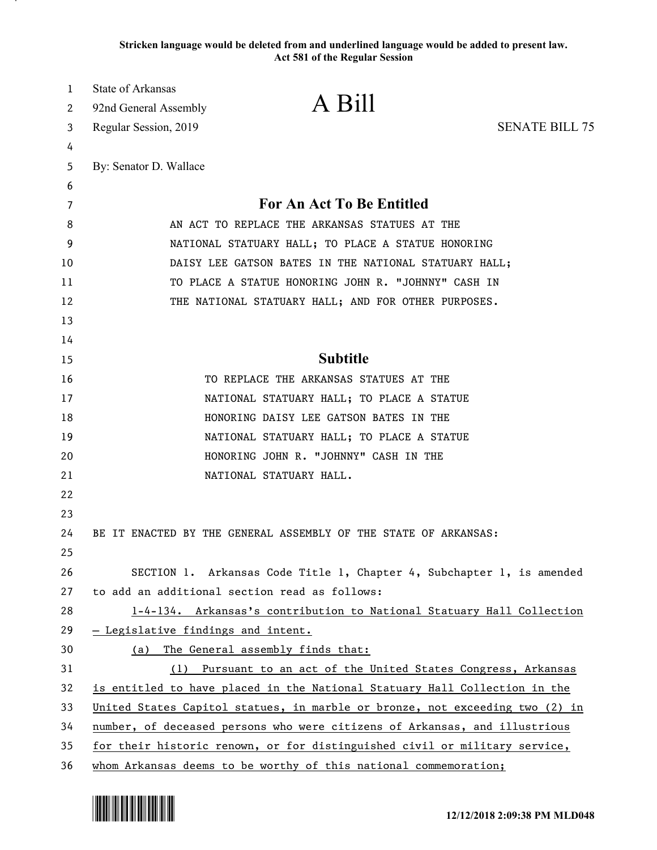**Stricken language would be deleted from and underlined language would be added to present law. Act 581 of the Regular Session**

| 1<br>2 | State of Arkansas<br>92nd General Assembly | A Bill                                                                       |                       |
|--------|--------------------------------------------|------------------------------------------------------------------------------|-----------------------|
| 3      | Regular Session, 2019                      |                                                                              | <b>SENATE BILL 75</b> |
| 4      |                                            |                                                                              |                       |
| 5      | By: Senator D. Wallace                     |                                                                              |                       |
| 6      |                                            |                                                                              |                       |
| 7      |                                            | For An Act To Be Entitled                                                    |                       |
| 8      |                                            | AN ACT TO REPLACE THE ARKANSAS STATUES AT THE                                |                       |
| 9      |                                            | NATIONAL STATUARY HALL; TO PLACE A STATUE HONORING                           |                       |
| 10     |                                            | DAISY LEE GATSON BATES IN THE NATIONAL STATUARY HALL;                        |                       |
| 11     |                                            | TO PLACE A STATUE HONORING JOHN R. "JOHNNY" CASH IN                          |                       |
| 12     |                                            | THE NATIONAL STATUARY HALL; AND FOR OTHER PURPOSES.                          |                       |
| 13     |                                            |                                                                              |                       |
| 14     |                                            |                                                                              |                       |
| 15     |                                            | <b>Subtitle</b>                                                              |                       |
| 16     |                                            | TO REPLACE THE ARKANSAS STATUES AT THE                                       |                       |
| 17     |                                            | NATIONAL STATUARY HALL; TO PLACE A STATUE                                    |                       |
| 18     |                                            | HONORING DAISY LEE GATSON BATES IN THE                                       |                       |
| 19     |                                            | NATIONAL STATUARY HALL; TO PLACE A STATUE                                    |                       |
| 20     |                                            | HONORING JOHN R. "JOHNNY" CASH IN THE                                        |                       |
| 21     |                                            | NATIONAL STATUARY HALL.                                                      |                       |
| 22     |                                            |                                                                              |                       |
| 23     |                                            |                                                                              |                       |
| 24     |                                            | BE IT ENACTED BY THE GENERAL ASSEMBLY OF THE STATE OF ARKANSAS:              |                       |
| 25     |                                            |                                                                              |                       |
| 26     |                                            | SECTION 1. Arkansas Code Title 1, Chapter 4, Subchapter 1, is amended        |                       |
| 27     |                                            | to add an additional section read as follows:                                |                       |
| 28     |                                            | 1-4-134. Arkansas's contribution to National Statuary Hall Collection        |                       |
| 29     | - Legislative findings and intent.         |                                                                              |                       |
| 30     | (a)                                        | The General assembly finds that:                                             |                       |
| 31     |                                            | (1) Pursuant to an act of the United States Congress, Arkansas               |                       |
| 32     |                                            | is entitled to have placed in the National Statuary Hall Collection in the   |                       |
| 33     |                                            | United States Capitol statues, in marble or bronze, not exceeding two (2) in |                       |
| 34     |                                            | number, of deceased persons who were citizens of Arkansas, and illustrious   |                       |
| 35     |                                            | for their historic renown, or for distinguished civil or military service,   |                       |
| 36     |                                            | whom Arkansas deems to be worthy of this national commemoration;             |                       |

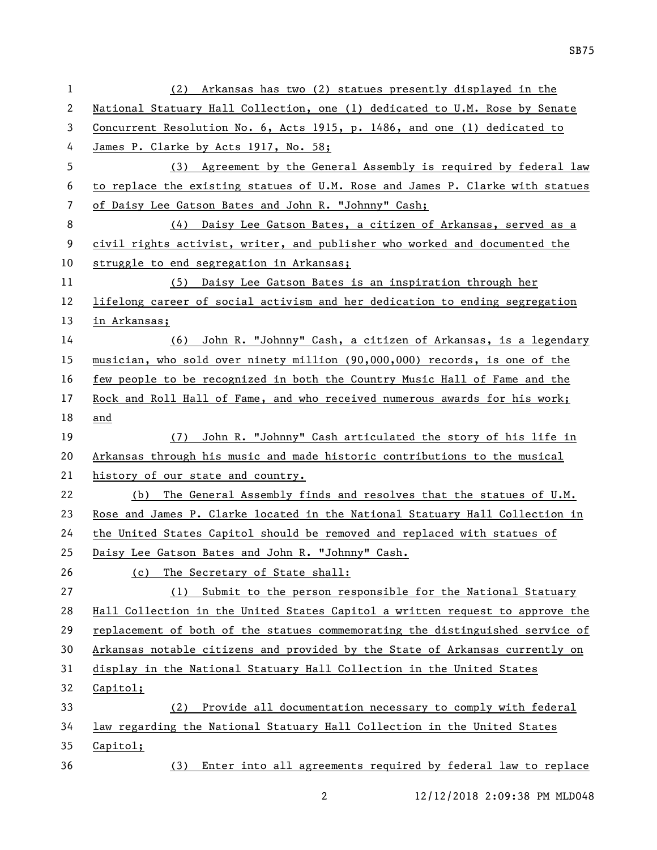| $\mathbf{1}$ | (2) Arkansas has two (2) statues presently displayed in the                   |
|--------------|-------------------------------------------------------------------------------|
| 2            | National Statuary Hall Collection, one (1) dedicated to U.M. Rose by Senate   |
| 3            | Concurrent Resolution No. 6, Acts 1915, p. 1486, and one (1) dedicated to     |
| 4            | James P. Clarke by Acts 1917, No. 58;                                         |
| 5            | (3) Agreement by the General Assembly is required by federal law              |
| 6            | to replace the existing statues of U.M. Rose and James P. Clarke with statues |
| 7            | of Daisy Lee Gatson Bates and John R. "Johnny" Cash;                          |
| 8            | (4) Daisy Lee Gatson Bates, a citizen of Arkansas, served as a                |
| 9            | civil rights activist, writer, and publisher who worked and documented the    |
| 10           | struggle to end segregation in Arkansas;                                      |
| 11           | (5) Daisy Lee Gatson Bates is an inspiration through her                      |
| 12           | lifelong career of social activism and her dedication to ending segregation   |
| 13           | in Arkansas;                                                                  |
| 14           | (6) John R. "Johnny" Cash, a citizen of Arkansas, is a legendary              |
| 15           | musician, who sold over ninety million (90,000,000) records, is one of the    |
| 16           | few people to be recognized in both the Country Music Hall of Fame and the    |
| 17           | Rock and Roll Hall of Fame, and who received numerous awards for his work;    |
| 18           | and                                                                           |
|              |                                                                               |
| 19           | John R. "Johnny" Cash articulated the story of his life in<br>(7)             |
| 20           | Arkansas through his music and made historic contributions to the musical     |
| 21           | history of our state and country.                                             |
| 22           | The General Assembly finds and resolves that the statues of U.M.<br>(b)       |
| 23           | Rose and James P. Clarke located in the National Statuary Hall Collection in  |
| 24           | the United States Capitol should be removed and replaced with statues of      |
| 25           | Daisy Lee Gatson Bates and John R. "Johnny" Cash.                             |
| 26           | The Secretary of State shall:<br>(c)                                          |
| 27           | Submit to the person responsible for the National Statuary<br>(1)             |
| 28           | Hall Collection in the United States Capitol a written request to approve the |
| 29           | replacement of both of the statues commemorating the distinguished service of |
| 30           | Arkansas notable citizens and provided by the State of Arkansas currently on  |
| 31           | display in the National Statuary Hall Collection in the United States         |
| 32           | Capitol;                                                                      |
| 33           | Provide all documentation necessary to comply with federal<br>(2)             |
| 34           | law regarding the National Statuary Hall Collection in the United States      |
| 35           | Capitol;                                                                      |

2 12/12/2018 2:09:38 PM MLD048

SB75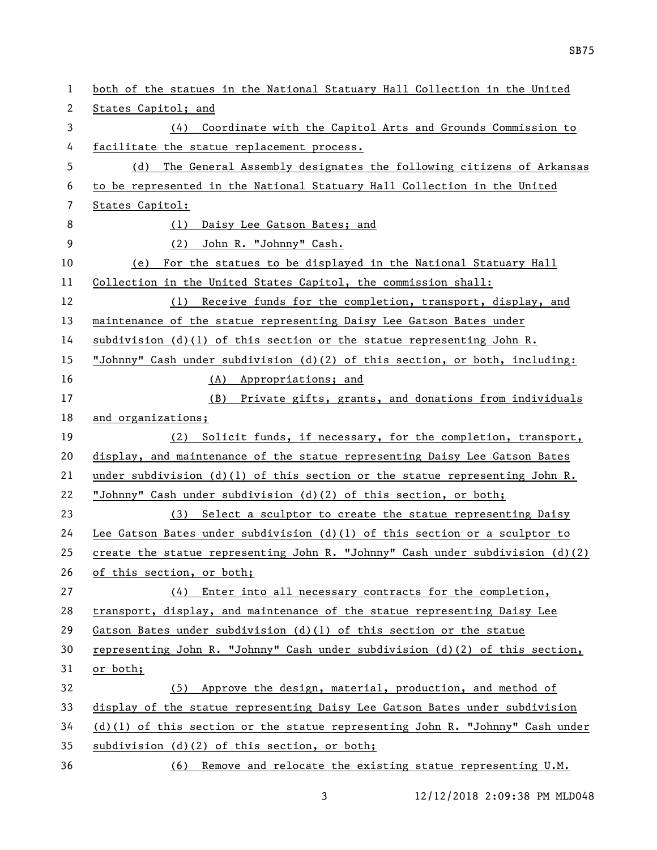| 1  | both of the statues in the National Statuary Hall Collection in the United      |
|----|---------------------------------------------------------------------------------|
| 2  | States Capitol; and                                                             |
| 3  | Coordinate with the Capitol Arts and Grounds Commission to<br>(4)               |
| 4  | facilitate the statue replacement process.                                      |
| 5  | The General Assembly designates the following citizens of Arkansas<br>(d)       |
| 6  | to be represented in the National Statuary Hall Collection in the United        |
| 7  | States Capitol:                                                                 |
| 8  | Daisy Lee Gatson Bates; and<br>(1)                                              |
| 9  | (2) John R. "Johnny" Cash.                                                      |
| 10 | (e) For the statues to be displayed in the National Statuary Hall               |
| 11 | Collection in the United States Capitol, the commission shall:                  |
| 12 | (1) Receive funds for the completion, transport, display, and                   |
| 13 | maintenance of the statue representing Daisy Lee Gatson Bates under             |
| 14 | subdivision $(d)(1)$ of this section or the statue representing John R.         |
| 15 | "Johnny" Cash under subdivision (d)(2) of this section, or both, including:     |
| 16 | (A) Appropriations; and                                                         |
| 17 | (B) Private gifts, grants, and donations from individuals                       |
| 18 | and organizations;                                                              |
| 19 | (2) Solicit funds, if necessary, for the completion, transport,                 |
| 20 | display, and maintenance of the statue representing Daisy Lee Gatson Bates      |
| 21 | under subdivision $(d)(1)$ of this section or the statue representing John R.   |
| 22 | "Johnny" Cash under subdivision (d)(2) of this section, or both;                |
| 23 | (3) Select a sculptor to create the statue representing Daisy                   |
| 24 | Lee Gatson Bates under subdivision $(d)(1)$ of this section or a sculptor to    |
| 25 | create the statue representing John R. "Johnny" Cash under subdivision $(d)(2)$ |
| 26 | of this section, or both;                                                       |
| 27 | $(4)$ Enter into all necessary contracts for the completion,                    |
| 28 | transport, display, and maintenance of the statue representing Daisy Lee        |
| 29 | Gatson Bates under subdivision $(d)(1)$ of this section or the statue           |
| 30 | representing John R. "Johnny" Cash under subdivision (d)(2) of this section,    |
| 31 | or both;                                                                        |
| 32 | (5) Approve the design, material, production, and method of                     |
| 33 | display of the statue representing Daisy Lee Gatson Bates under subdivision     |
| 34 | $(d)(1)$ of this section or the statue representing John R. "Johnny" Cash under |
| 35 | subdivision (d)(2) of this section, or both;                                    |
| 36 | (6) Remove and relocate the existing statue representing U.M.                   |

SB75